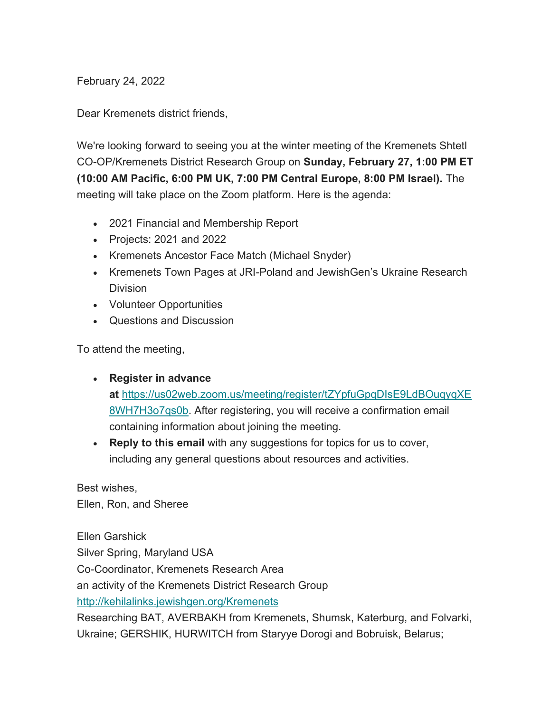February 24, 2022

Dear Kremenets district friends,

We're looking forward to seeing you at the winter meeting of the Kremenets Shtetl CO-OP/Kremenets District Research Group on **Sunday, February 27, 1:00 PM ET (10:00 AM Pacific, 6:00 PM UK, 7:00 PM Central Europe, 8:00 PM Israel).** The meeting will take place on the Zoom platform. Here is the agenda:

- 2021 Financial and Membership Report
- Projects: 2021 and 2022
- Kremenets Ancestor Face Match (Michael Snyder)
- Kremenets Town Pages at JRI-Poland and JewishGen's Ukraine Research **Division**
- Volunteer Opportunities
- Questions and Discussion

To attend the meeting,

## **Register in advance**

**at** https://us02web.zoom.us/meeting/register/tZYpfuGpqDIsE9LdBOuqyqXE 8WH7H3o7qs0b. After registering, you will receive a confirmation email containing information about joining the meeting.

 **Reply to this email** with any suggestions for topics for us to cover, including any general questions about resources and activities.

Best wishes, Ellen, Ron, and Sheree

Ellen Garshick

Silver Spring, Maryland USA

Co-Coordinator, Kremenets Research Area

an activity of the Kremenets District Research Group

http://kehilalinks.jewishgen.org/Kremenets

Researching BAT, AVERBAKH from Kremenets, Shumsk, Katerburg, and Folvarki, Ukraine; GERSHIK, HURWITCH from Staryye Dorogi and Bobruisk, Belarus;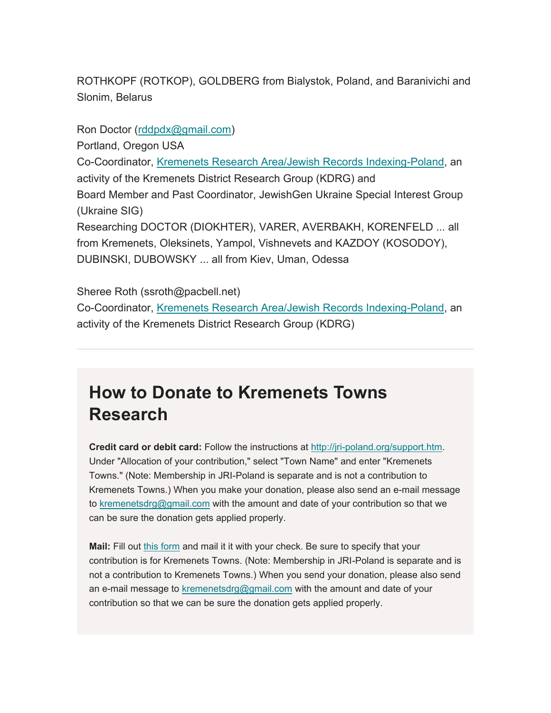ROTHKOPF (ROTKOP), GOLDBERG from Bialystok, Poland, and Baranivichi and Slonim, Belarus

Ron Doctor (rddpdx@gmail.com)

Portland, Oregon USA

Co-Coordinator, Kremenets Research Area/Jewish Records Indexing-Poland, an activity of the Kremenets District Research Group (KDRG) and Board Member and Past Coordinator, JewishGen Ukraine Special Interest Group (Ukraine SIG) Researching DOCTOR (DIOKHTER), VARER, AVERBAKH, KORENFELD ... all

from Kremenets, Oleksinets, Yampol, Vishnevets and KAZDOY (KOSODOY), DUBINSKI, DUBOWSKY ... all from Kiev, Uman, Odessa

Sheree Roth (ssroth@pacbell.net) Co-Coordinator, Kremenets Research Area/Jewish Records Indexing-Poland, an activity of the Kremenets District Research Group (KDRG)

## **How to Donate to Kremenets Towns Research**

**Credit card or debit card:** Follow the instructions at http://jri-poland.org/support.htm. Under "Allocation of your contribution," select "Town Name" and enter "Kremenets Towns." (Note: Membership in JRI-Poland is separate and is not a contribution to Kremenets Towns.) When you make your donation, please also send an e-mail message to kremenetsdrg@gmail.com with the amount and date of your contribution so that we can be sure the donation gets applied properly.

**Mail:** Fill out this form and mail it it with your check. Be sure to specify that your contribution is for Kremenets Towns. (Note: Membership in JRI-Poland is separate and is not a contribution to Kremenets Towns.) When you send your donation, please also send an e-mail message to kremenetsdrg@gmail.com with the amount and date of your contribution so that we can be sure the donation gets applied properly.